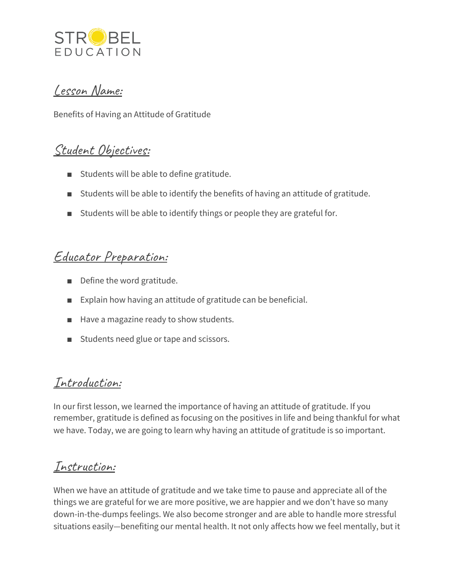

### Lesson Name:

Benefits of Having an Attitude of Gratitude

### Student Objectives:

- Students will be able to define gratitude.
- Students will be able to identify the benefits of having an attitude of gratitude.
- Students will be able to identify things or people they are grateful for.

# Educator Preparation:

- Define the word gratitude.
- Explain how having an attitude of gratitude can be beneficial.
- Have a magazine ready to show students.
- Students need glue or tape and scissors.

# Introduction:

In our first lesson, we learned the importance of having an attitude of gratitude. If you remember, gratitude is defined as focusing on the positives in life and being thankful for what we have. Today, we are going to learn why having an attitude of gratitude is so important.

# Instruction:

When we have an attitude of gratitude and we take time to pause and appreciate all of the things we are grateful for we are more positive, we are happier and we don't have so many down-in-the-dumps feelings. We also become stronger and are able to handle more stressful situations easily—benefiting our mental health. It not only affects how we feel mentally, but it